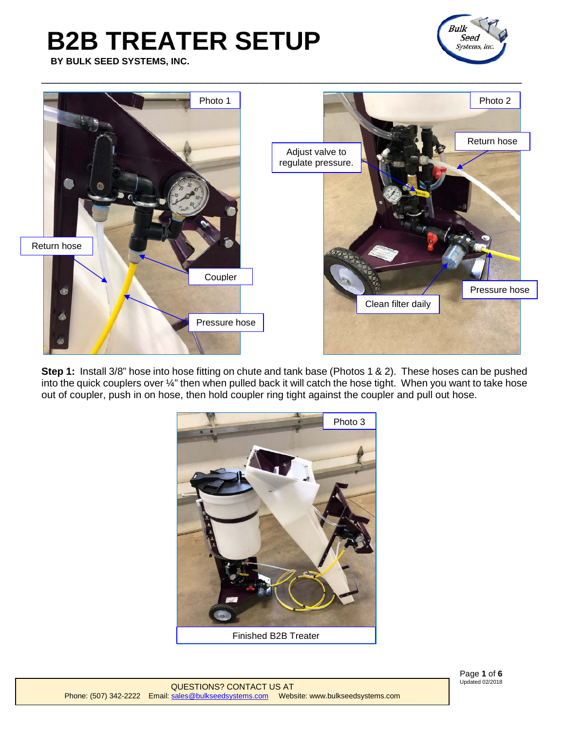**BY BULK SEED SYSTEMS, INC.**





**Step 1:** Install 3/8" hose into hose fitting on chute and tank base (Photos 1 & 2). These hoses can be pushed into the quick couplers over ¼" then when pulled back it will catch the hose tight. When you want to take hose out of coupler, push in on hose, then hold coupler ring tight against the coupler and pull out hose.



[QUESTIONS? CONTACT U](mailto:sales@bulkseedsystems.com)S AT Phone: (507) 342-2222 Email[: sales@bulkseedsystems.com](mailto:sales@bulkseedsystems.com) Website: www.bulkseedsystems.com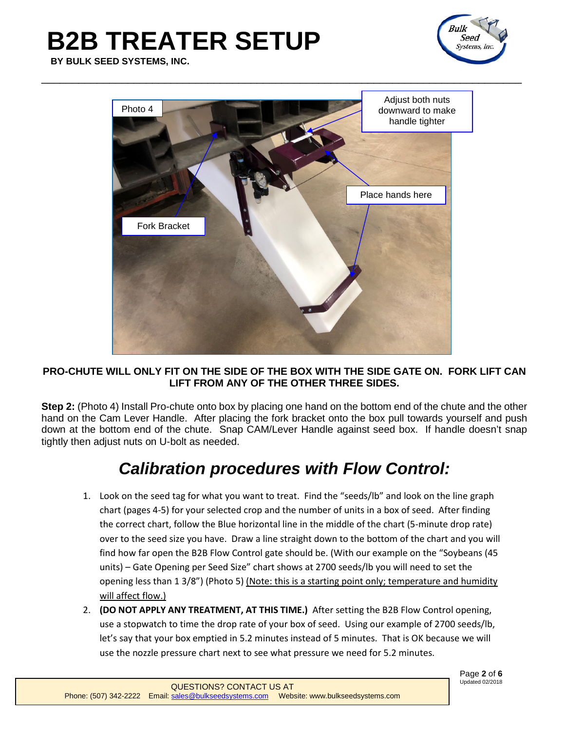

**BY BULK SEED SYSTEMS, INC.**



#### **PRO-CHUTE WILL ONLY FIT ON THE SIDE OF THE BOX WITH THE SIDE GATE ON. FORK LIFT CAN LIFT FROM ANY OF THE OTHER THREE SIDES.**

**Step 2:** (Photo 4) Install Pro-chute onto box by placing one hand on the bottom end of the chute and the other hand on the Cam Lever Handle. After placing the fork bracket onto the box pull towards yourself and push down at the bottom end of the chute. Snap CAM/Lever Handle against seed box. If handle doesn't snap tightly then adjust nuts on U-bolt as needed.

#### *Calibration procedures with Flow Control:*

- 1. Look on the seed tag for what you want to treat. Find the "seeds/lb" and look on the line graph chart (pages 4-5) for your selected crop and the number of units in a box of seed. After finding the correct chart, follow the Blue horizontal line in the middle of the chart (5-minute drop rate) over to the seed size you have. Draw a line straight down to the bottom of the chart and you will find how far open the B2B Flow Control gate should be. (With our example on the "Soybeans (45 units) – Gate Opening per Seed Size" chart shows at 2700 seeds/lb you will need to set the opening less than 1 3/8") (Photo 5) (Note: this is a starting point only; temperature and humidity will affect flow.)
- 2. **(DO NOT APPLY ANY TREATMENT, AT THIS TIME.)** After setting the B2B Flow Control opening, use a stopwatch to time the drop rate of your box of seed. Using our example of 2700 seeds/lb, let's say that your box emptied in 5.2 minutes instead of 5 minutes. That is OK because we will use the nozzle pressure chart next to see what pressure we need for 5.2 minutes.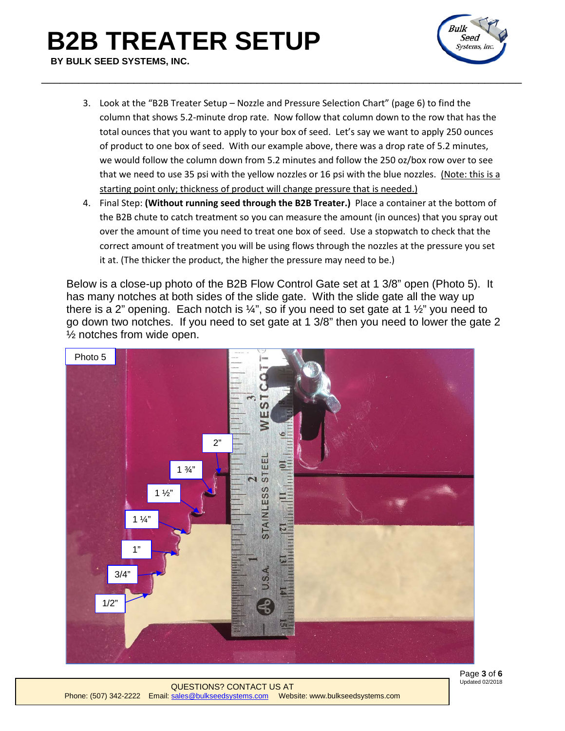### **B2B TREATER SETUP BY BULK SEED SYSTEMS, INC.**



3. Look at the "B2B Treater Setup – Nozzle and Pressure Selection Chart" (page 6) to find the column that shows 5.2-minute drop rate. Now follow that column down to the row that has the total ounces that you want to apply to your box of seed. Let's say we want to apply 250 ounces of product to one box of seed. With our example above, there was a drop rate of 5.2 minutes, we would follow the column down from 5.2 minutes and follow the 250 oz/box row over to see that we need to use 35 psi with the yellow nozzles or 16 psi with the blue nozzles. (Note: this is a starting point only; thickness of product will change pressure that is needed.)

\_\_\_\_\_\_\_\_\_\_\_\_\_\_\_\_\_\_\_\_\_\_\_\_\_\_\_\_\_\_\_\_\_\_\_\_\_\_\_\_\_\_\_\_\_\_\_\_\_\_\_\_\_\_\_\_\_\_\_\_\_\_\_\_\_\_\_\_\_\_\_\_\_\_\_\_\_\_

4. Final Step: **(Without running seed through the B2B Treater.)** Place a container at the bottom of the B2B chute to catch treatment so you can measure the amount (in ounces) that you spray out over the amount of time you need to treat one box of seed. Use a stopwatch to check that the correct amount of treatment you will be using flows through the nozzles at the pressure you set it at. (The thicker the product, the higher the pressure may need to be.)

Below is a close-up photo of the B2B Flow Control Gate set at 1 3/8" open (Photo 5). It has many notches at both sides of the slide gate. With the slide gate all the way up there is a 2" opening. Each notch is  $\frac{1}{4}$ ", so if you need to set gate at 1  $\frac{1}{2}$ " you need to go down two notches. If you need to set gate at 1 3/8" then you need to lower the gate 2 ½ notches from wide open.



Page **3** of **6** Updated 02/2018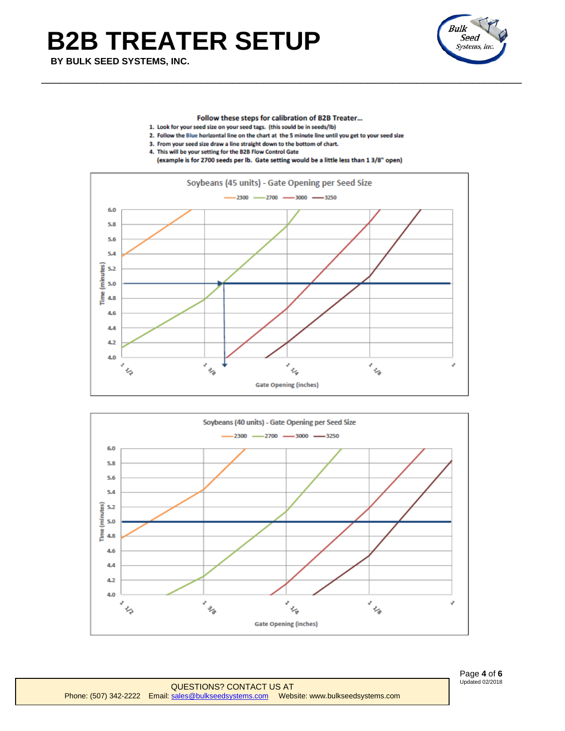**BY BULK SEED SYSTEMS, INC.**



Follow these steps for calibration of B2B Treater...

- 1. Look for your seed size on your seed tags. (this sould be in seeds/lb)
- 2. Follow the Blue horizontal line on the chart at the 5 minute line until you get to your seed size

\_\_\_\_\_\_\_\_\_\_\_\_\_\_\_\_\_\_\_\_\_\_\_\_\_\_\_\_\_\_\_\_\_\_\_\_\_\_\_\_\_\_\_\_\_\_\_\_\_\_\_\_\_\_\_\_\_\_\_\_\_\_\_\_\_\_\_\_\_\_\_\_\_\_\_\_\_\_

- 3. From your seed size draw a line straight down to the bottom of chart.
- 4. This will be your setting for the B2B Flow Control Gate





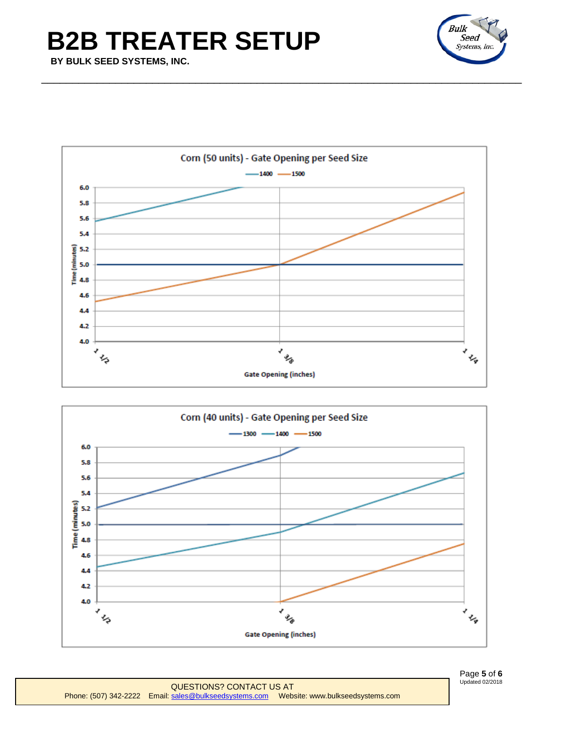**BY BULK SEED SYSTEMS, INC.**





\_\_\_\_\_\_\_\_\_\_\_\_\_\_\_\_\_\_\_\_\_\_\_\_\_\_\_\_\_\_\_\_\_\_\_\_\_\_\_\_\_\_\_\_\_\_\_\_\_\_\_\_\_\_\_\_\_\_\_\_\_\_\_\_\_\_\_\_\_\_\_\_\_\_\_\_\_\_